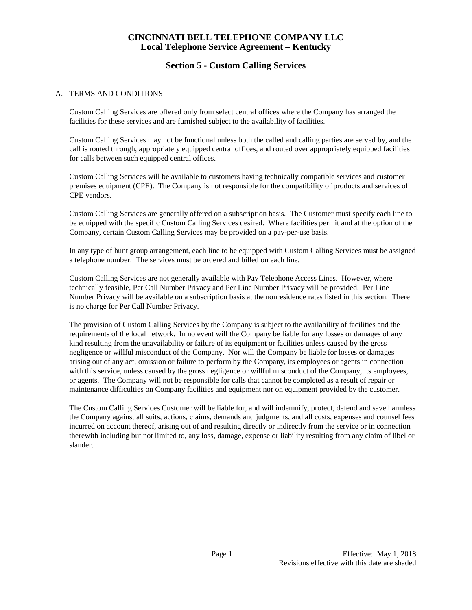## **Section 5 - Custom Calling Services**

#### A. TERMS AND CONDITIONS

Custom Calling Services are offered only from select central offices where the Company has arranged the facilities for these services and are furnished subject to the availability of facilities.

Custom Calling Services may not be functional unless both the called and calling parties are served by, and the call is routed through, appropriately equipped central offices, and routed over appropriately equipped facilities for calls between such equipped central offices.

Custom Calling Services will be available to customers having technically compatible services and customer premises equipment (CPE). The Company is not responsible for the compatibility of products and services of CPE vendors.

Custom Calling Services are generally offered on a subscription basis. The Customer must specify each line to be equipped with the specific Custom Calling Services desired. Where facilities permit and at the option of the Company, certain Custom Calling Services may be provided on a pay-per-use basis.

In any type of hunt group arrangement, each line to be equipped with Custom Calling Services must be assigned a telephone number. The services must be ordered and billed on each line.

Custom Calling Services are not generally available with Pay Telephone Access Lines. However, where technically feasible, Per Call Number Privacy and Per Line Number Privacy will be provided. Per Line Number Privacy will be available on a subscription basis at the nonresidence rates listed in this section. There is no charge for Per Call Number Privacy.

The provision of Custom Calling Services by the Company is subject to the availability of facilities and the requirements of the local network. In no event will the Company be liable for any losses or damages of any kind resulting from the unavailability or failure of its equipment or facilities unless caused by the gross negligence or willful misconduct of the Company. Nor will the Company be liable for losses or damages arising out of any act, omission or failure to perform by the Company, its employees or agents in connection with this service, unless caused by the gross negligence or willful misconduct of the Company, its employees, or agents. The Company will not be responsible for calls that cannot be completed as a result of repair or maintenance difficulties on Company facilities and equipment nor on equipment provided by the customer.

The Custom Calling Services Customer will be liable for, and will indemnify, protect, defend and save harmless the Company against all suits, actions, claims, demands and judgments, and all costs, expenses and counsel fees incurred on account thereof, arising out of and resulting directly or indirectly from the service or in connection therewith including but not limited to, any loss, damage, expense or liability resulting from any claim of libel or slander.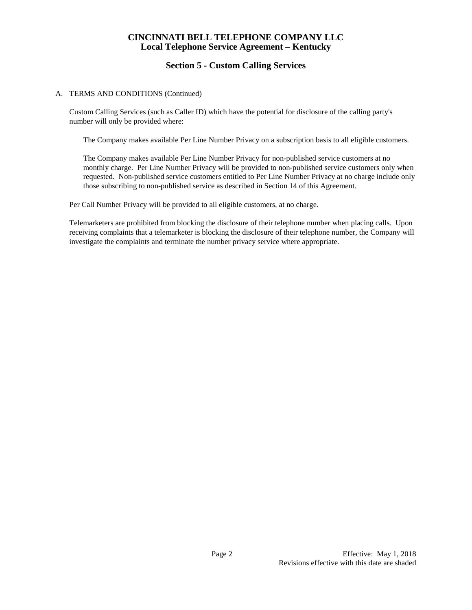# **Section 5 - Custom Calling Services**

#### A. TERMS AND CONDITIONS (Continued)

Custom Calling Services (such as Caller ID) which have the potential for disclosure of the calling party's number will only be provided where:

The Company makes available Per Line Number Privacy on a subscription basis to all eligible customers.

The Company makes available Per Line Number Privacy for non-published service customers at no monthly charge. Per Line Number Privacy will be provided to non-published service customers only when requested. Non-published service customers entitled to Per Line Number Privacy at no charge include only those subscribing to non-published service as described in Section 14 of this Agreement.

Per Call Number Privacy will be provided to all eligible customers, at no charge.

Telemarketers are prohibited from blocking the disclosure of their telephone number when placing calls. Upon receiving complaints that a telemarketer is blocking the disclosure of their telephone number, the Company will investigate the complaints and terminate the number privacy service where appropriate.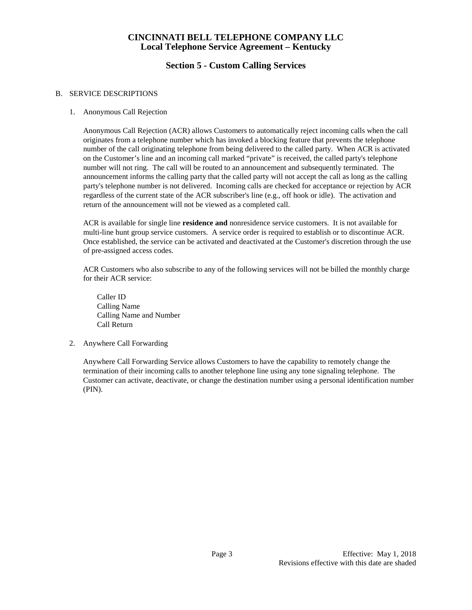# **Section 5 - Custom Calling Services**

#### B. SERVICE DESCRIPTIONS

1. Anonymous Call Rejection

Anonymous Call Rejection (ACR) allows Customers to automatically reject incoming calls when the call originates from a telephone number which has invoked a blocking feature that prevents the telephone number of the call originating telephone from being delivered to the called party. When ACR is activated on the Customer's line and an incoming call marked "private" is received, the called party's telephone number will not ring. The call will be routed to an announcement and subsequently terminated. The announcement informs the calling party that the called party will not accept the call as long as the calling party's telephone number is not delivered. Incoming calls are checked for acceptance or rejection by ACR regardless of the current state of the ACR subscriber's line (e.g., off hook or idle). The activation and return of the announcement will not be viewed as a completed call.

ACR is available for single line **residence and** nonresidence service customers. It is not available for multi-line hunt group service customers. A service order is required to establish or to discontinue ACR. Once established, the service can be activated and deactivated at the Customer's discretion through the use of pre-assigned access codes.

ACR Customers who also subscribe to any of the following services will not be billed the monthly charge for their ACR service:

Caller ID Calling Name Calling Name and Number Call Return

2. Anywhere Call Forwarding

Anywhere Call Forwarding Service allows Customers to have the capability to remotely change the termination of their incoming calls to another telephone line using any tone signaling telephone. The Customer can activate, deactivate, or change the destination number using a personal identification number (PIN).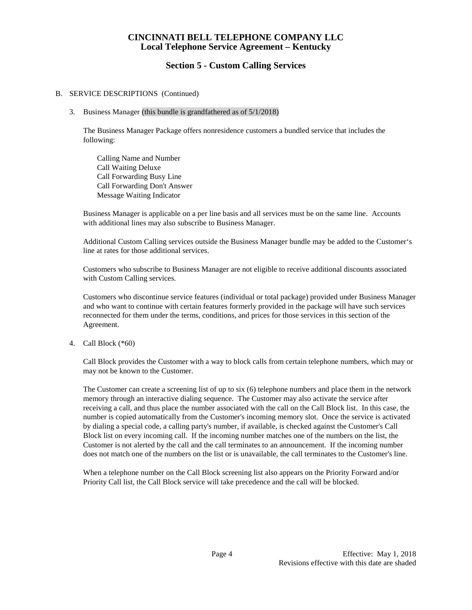#### **Section 5 - Custom Calling Services**

#### B. SERVICE DESCRIPTIONS (Continued)

#### 3. Business Manager (this bundle is grandfathered as of 5/1/2018)

The Business Manager Package offers nonresidence customers a bundled service that includes the following:

Calling Name and Number Call Waiting Deluxe Call Forwarding Busy Line Call Forwarding Don't Answer Message Waiting Indicator

Business Manager is applicable on a per line basis and all services must be on the same line. Accounts with additional lines may also subscribe to Business Manager.

Additional Custom Calling services outside the Business Manager bundle may be added to the Customer's line at rates for those additional services.

Customers who subscribe to Business Manager are not eligible to receive additional discounts associated with Custom Calling services.

Customers who discontinue service features (individual or total package) provided under Business Manager and who want to continue with certain features formerly provided in the package will have such services reconnected for them under the terms, conditions, and prices for those services in this section of the Agreement.

#### 4. Call Block (\*60)

Call Block provides the Customer with a way to block calls from certain telephone numbers, which may or may not be known to the Customer.

The Customer can create a screening list of up to six (6) telephone numbers and place them in the network memory through an interactive dialing sequence. The Customer may also activate the service after receiving a call, and thus place the number associated with the call on the Call Block list. In this case, the number is copied automatically from the Customer's incoming memory slot. Once the service is activated by dialing a special code, a calling party's number, if available, is checked against the Customer's Call Block list on every incoming call. If the incoming number matches one of the numbers on the list, the Customer is not alerted by the call and the call terminates to an announcement. If the incoming number does not match one of the numbers on the list or is unavailable, the call terminates to the Customer's line.

When a telephone number on the Call Block screening list also appears on the Priority Forward and/or Priority Call list, the Call Block service will take precedence and the call will be blocked.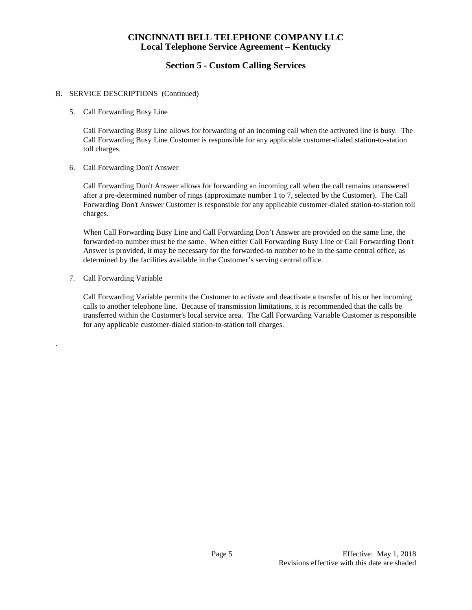# **Section 5 - Custom Calling Services**

#### B. SERVICE DESCRIPTIONS (Continued)

5. Call Forwarding Busy Line

Call Forwarding Busy Line allows for forwarding of an incoming call when the activated line is busy. The Call Forwarding Busy Line Customer is responsible for any applicable customer-dialed station-to-station toll charges.

6. Call Forwarding Don't Answer

Call Forwarding Don't Answer allows for forwarding an incoming call when the call remains unanswered after a pre-determined number of rings (approximate number 1 to 7, selected by the Customer). The Call Forwarding Don't Answer Customer is responsible for any applicable customer-dialed station-to-station toll charges.

When Call Forwarding Busy Line and Call Forwarding Don't Answer are provided on the same line, the forwarded-to number must be the same. When either Call Forwarding Busy Line or Call Forwarding Don't Answer is provided, it may be necessary for the forwarded-to number to be in the same central office, as determined by the facilities available in the Customer's serving central office.

7. Call Forwarding Variable

.

Call Forwarding Variable permits the Customer to activate and deactivate a transfer of his or her incoming calls to another telephone line. Because of transmission limitations, it is recommended that the calls be transferred within the Customer's local service area. The Call Forwarding Variable Customer is responsible for any applicable customer-dialed station-to-station toll charges.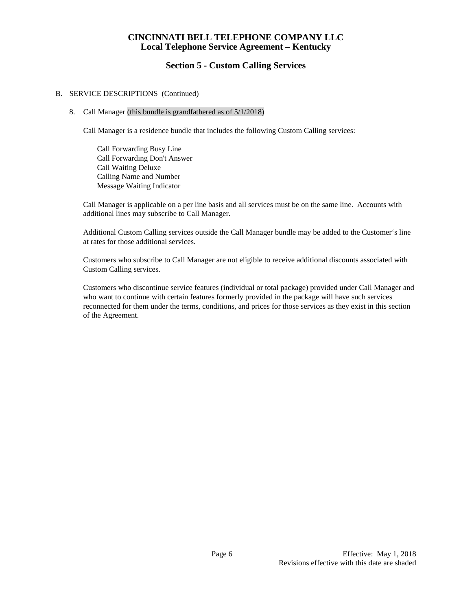### **Section 5 - Custom Calling Services**

#### B. SERVICE DESCRIPTIONS (Continued)

#### 8. Call Manager (this bundle is grandfathered as of 5/1/2018)

Call Manager is a residence bundle that includes the following Custom Calling services:

Call Forwarding Busy Line Call Forwarding Don't Answer Call Waiting Deluxe Calling Name and Number Message Waiting Indicator

Call Manager is applicable on a per line basis and all services must be on the same line. Accounts with additional lines may subscribe to Call Manager.

Additional Custom Calling services outside the Call Manager bundle may be added to the Customer's line at rates for those additional services.

Customers who subscribe to Call Manager are not eligible to receive additional discounts associated with Custom Calling services.

Customers who discontinue service features (individual or total package) provided under Call Manager and who want to continue with certain features formerly provided in the package will have such services reconnected for them under the terms, conditions, and prices for those services as they exist in this section of the Agreement.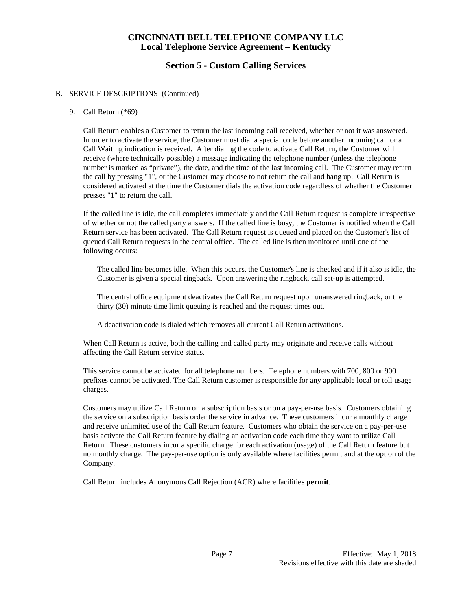# **Section 5 - Custom Calling Services**

#### B. SERVICE DESCRIPTIONS (Continued)

#### 9. Call Return (\*69)

Call Return enables a Customer to return the last incoming call received, whether or not it was answered. In order to activate the service, the Customer must dial a special code before another incoming call or a Call Waiting indication is received. After dialing the code to activate Call Return, the Customer will receive (where technically possible) a message indicating the telephone number (unless the telephone number is marked as "private"), the date, and the time of the last incoming call. The Customer may return the call by pressing "1", or the Customer may choose to not return the call and hang up. Call Return is considered activated at the time the Customer dials the activation code regardless of whether the Customer presses "1" to return the call.

If the called line is idle, the call completes immediately and the Call Return request is complete irrespective of whether or not the called party answers. If the called line is busy, the Customer is notified when the Call Return service has been activated. The Call Return request is queued and placed on the Customer's list of queued Call Return requests in the central office. The called line is then monitored until one of the following occurs:

The called line becomes idle. When this occurs, the Customer's line is checked and if it also is idle, the Customer is given a special ringback. Upon answering the ringback, call set-up is attempted.

The central office equipment deactivates the Call Return request upon unanswered ringback, or the thirty (30) minute time limit queuing is reached and the request times out.

A deactivation code is dialed which removes all current Call Return activations.

When Call Return is active, both the calling and called party may originate and receive calls without affecting the Call Return service status.

This service cannot be activated for all telephone numbers. Telephone numbers with 700, 800 or 900 prefixes cannot be activated. The Call Return customer is responsible for any applicable local or toll usage charges.

Customers may utilize Call Return on a subscription basis or on a pay-per-use basis. Customers obtaining the service on a subscription basis order the service in advance. These customers incur a monthly charge and receive unlimited use of the Call Return feature. Customers who obtain the service on a pay-per-use basis activate the Call Return feature by dialing an activation code each time they want to utilize Call Return. These customers incur a specific charge for each activation (usage) of the Call Return feature but no monthly charge. The pay-per-use option is only available where facilities permit and at the option of the Company.

Call Return includes Anonymous Call Rejection (ACR) where facilities **permit**.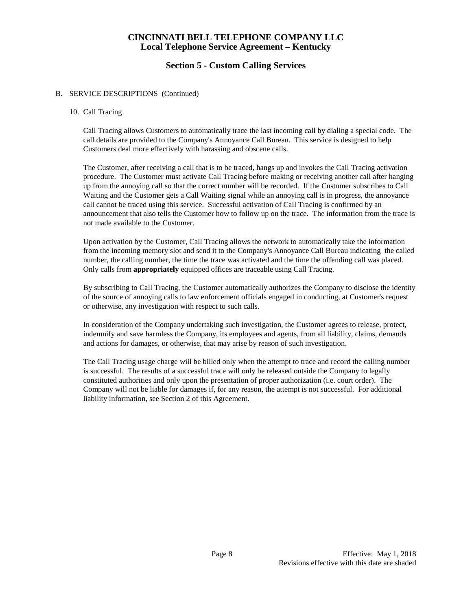## **Section 5 - Custom Calling Services**

#### B. SERVICE DESCRIPTIONS (Continued)

#### 10. Call Tracing

Call Tracing allows Customers to automatically trace the last incoming call by dialing a special code. The call details are provided to the Company's Annoyance Call Bureau. This service is designed to help Customers deal more effectively with harassing and obscene calls.

The Customer, after receiving a call that is to be traced, hangs up and invokes the Call Tracing activation procedure. The Customer must activate Call Tracing before making or receiving another call after hanging up from the annoying call so that the correct number will be recorded. If the Customer subscribes to Call Waiting and the Customer gets a Call Waiting signal while an annoying call is in progress, the annoyance call cannot be traced using this service. Successful activation of Call Tracing is confirmed by an announcement that also tells the Customer how to follow up on the trace. The information from the trace is not made available to the Customer.

Upon activation by the Customer, Call Tracing allows the network to automatically take the information from the incoming memory slot and send it to the Company's Annoyance Call Bureau indicating the called number, the calling number, the time the trace was activated and the time the offending call was placed. Only calls from **appropriately** equipped offices are traceable using Call Tracing.

By subscribing to Call Tracing, the Customer automatically authorizes the Company to disclose the identity of the source of annoying calls to law enforcement officials engaged in conducting, at Customer's request or otherwise, any investigation with respect to such calls.

In consideration of the Company undertaking such investigation, the Customer agrees to release, protect, indemnify and save harmless the Company, its employees and agents, from all liability, claims, demands and actions for damages, or otherwise, that may arise by reason of such investigation.

The Call Tracing usage charge will be billed only when the attempt to trace and record the calling number is successful. The results of a successful trace will only be released outside the Company to legally constituted authorities and only upon the presentation of proper authorization (i.e. court order). The Company will not be liable for damages if, for any reason, the attempt is not successful. For additional liability information, see Section 2 of this Agreement.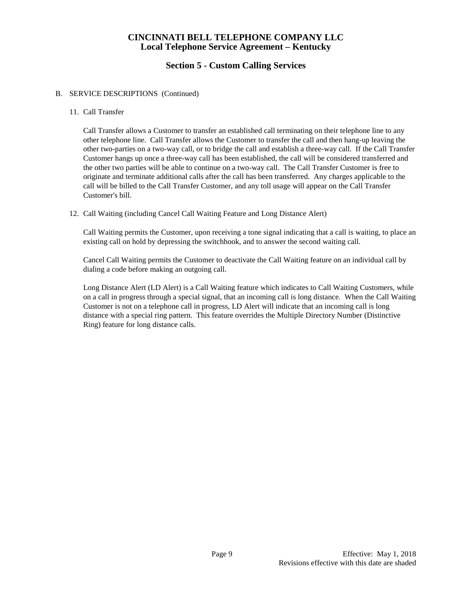# **Section 5 - Custom Calling Services**

#### B. SERVICE DESCRIPTIONS (Continued)

#### 11. Call Transfer

Call Transfer allows a Customer to transfer an established call terminating on their telephone line to any other telephone line. Call Transfer allows the Customer to transfer the call and then hang-up leaving the other two-parties on a two-way call, or to bridge the call and establish a three-way call. If the Call Transfer Customer hangs up once a three-way call has been established, the call will be considered transferred and the other two parties will be able to continue on a two-way call. The Call Transfer Customer is free to originate and terminate additional calls after the call has been transferred. Any charges applicable to the call will be billed to the Call Transfer Customer, and any toll usage will appear on the Call Transfer Customer's bill.

#### 12. Call Waiting (including Cancel Call Waiting Feature and Long Distance Alert)

Call Waiting permits the Customer, upon receiving a tone signal indicating that a call is waiting, to place an existing call on hold by depressing the switchhook, and to answer the second waiting call.

Cancel Call Waiting permits the Customer to deactivate the Call Waiting feature on an individual call by dialing a code before making an outgoing call.

Long Distance Alert (LD Alert) is a Call Waiting feature which indicates to Call Waiting Customers, while on a call in progress through a special signal, that an incoming call is long distance. When the Call Waiting Customer is not on a telephone call in progress, LD Alert will indicate that an incoming call is long distance with a special ring pattern. This feature overrides the Multiple Directory Number (Distinctive Ring) feature for long distance calls.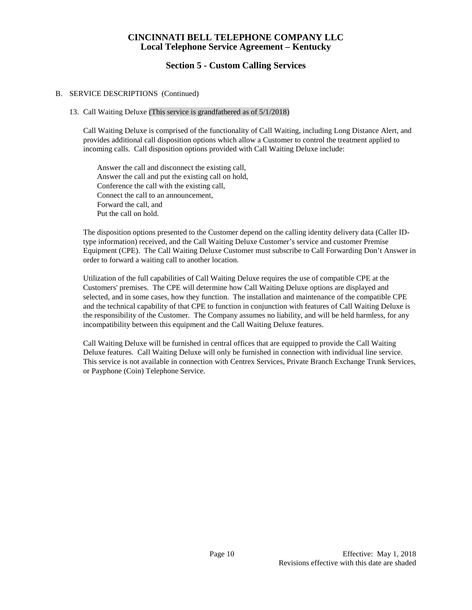## **Section 5 - Custom Calling Services**

#### B. SERVICE DESCRIPTIONS (Continued)

#### 13. Call Waiting Deluxe (This service is grandfathered as of 5/1/2018)

Call Waiting Deluxe is comprised of the functionality of Call Waiting, including Long Distance Alert, and provides additional call disposition options which allow a Customer to control the treatment applied to incoming calls. Call disposition options provided with Call Waiting Deluxe include:

Answer the call and disconnect the existing call, Answer the call and put the existing call on hold, Conference the call with the existing call, Connect the call to an announcement, Forward the call, and Put the call on hold.

The disposition options presented to the Customer depend on the calling identity delivery data (Caller IDtype information) received, and the Call Waiting Deluxe Customer's service and customer Premise Equipment (CPE). The Call Waiting Deluxe Customer must subscribe to Call Forwarding Don't Answer in order to forward a waiting call to another location.

Utilization of the full capabilities of Call Waiting Deluxe requires the use of compatible CPE at the Customers' premises. The CPE will determine how Call Waiting Deluxe options are displayed and selected, and in some cases, how they function. The installation and maintenance of the compatible CPE and the technical capability of that CPE to function in conjunction with features of Call Waiting Deluxe is the responsibility of the Customer. The Company assumes no liability, and will be held harmless, for any incompatibility between this equipment and the Call Waiting Deluxe features.

Call Waiting Deluxe will be furnished in central offices that are equipped to provide the Call Waiting Deluxe features. Call Waiting Deluxe will only be furnished in connection with individual line service. This service is not available in connection with Centrex Services, Private Branch Exchange Trunk Services, or Payphone (Coin) Telephone Service.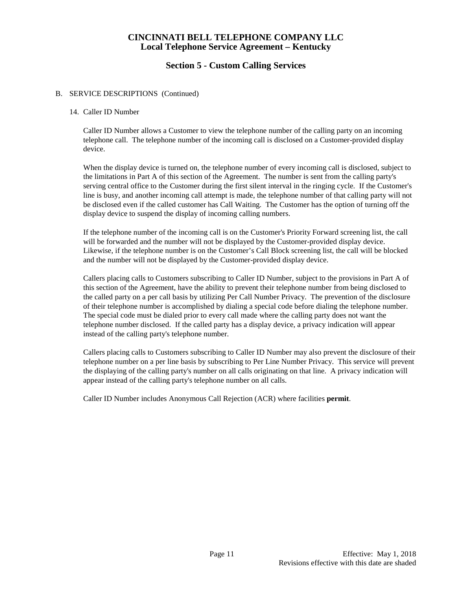## **Section 5 - Custom Calling Services**

#### B. SERVICE DESCRIPTIONS (Continued)

#### 14. Caller ID Number

Caller ID Number allows a Customer to view the telephone number of the calling party on an incoming telephone call. The telephone number of the incoming call is disclosed on a Customer-provided display device.

When the display device is turned on, the telephone number of every incoming call is disclosed, subject to the limitations in Part A of this section of the Agreement. The number is sent from the calling party's serving central office to the Customer during the first silent interval in the ringing cycle. If the Customer's line is busy, and another incoming call attempt is made, the telephone number of that calling party will not be disclosed even if the called customer has Call Waiting. The Customer has the option of turning off the display device to suspend the display of incoming calling numbers.

If the telephone number of the incoming call is on the Customer's Priority Forward screening list, the call will be forwarded and the number will not be displayed by the Customer-provided display device. Likewise, if the telephone number is on the Customer's Call Block screening list, the call will be blocked and the number will not be displayed by the Customer-provided display device.

Callers placing calls to Customers subscribing to Caller ID Number, subject to the provisions in Part A of this section of the Agreement, have the ability to prevent their telephone number from being disclosed to the called party on a per call basis by utilizing Per Call Number Privacy. The prevention of the disclosure of their telephone number is accomplished by dialing a special code before dialing the telephone number. The special code must be dialed prior to every call made where the calling party does not want the telephone number disclosed. If the called party has a display device, a privacy indication will appear instead of the calling party's telephone number.

Callers placing calls to Customers subscribing to Caller ID Number may also prevent the disclosure of their telephone number on a per line basis by subscribing to Per Line Number Privacy. This service will prevent the displaying of the calling party's number on all calls originating on that line. A privacy indication will appear instead of the calling party's telephone number on all calls.

Caller ID Number includes Anonymous Call Rejection (ACR) where facilities **permit**.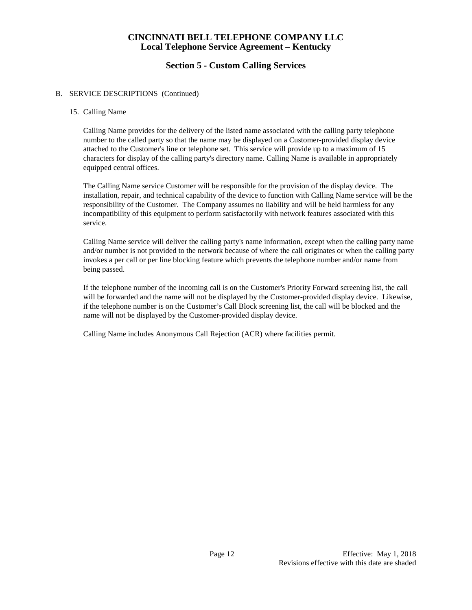# **Section 5 - Custom Calling Services**

#### B. SERVICE DESCRIPTIONS (Continued)

#### 15. Calling Name

Calling Name provides for the delivery of the listed name associated with the calling party telephone number to the called party so that the name may be displayed on a Customer-provided display device attached to the Customer's line or telephone set. This service will provide up to a maximum of 15 characters for display of the calling party's directory name. Calling Name is available in appropriately equipped central offices.

The Calling Name service Customer will be responsible for the provision of the display device. The installation, repair, and technical capability of the device to function with Calling Name service will be the responsibility of the Customer. The Company assumes no liability and will be held harmless for any incompatibility of this equipment to perform satisfactorily with network features associated with this service.

Calling Name service will deliver the calling party's name information, except when the calling party name and/or number is not provided to the network because of where the call originates or when the calling party invokes a per call or per line blocking feature which prevents the telephone number and/or name from being passed.

If the telephone number of the incoming call is on the Customer's Priority Forward screening list, the call will be forwarded and the name will not be displayed by the Customer-provided display device. Likewise, if the telephone number is on the Customer's Call Block screening list, the call will be blocked and the name will not be displayed by the Customer-provided display device.

Calling Name includes Anonymous Call Rejection (ACR) where facilities permit.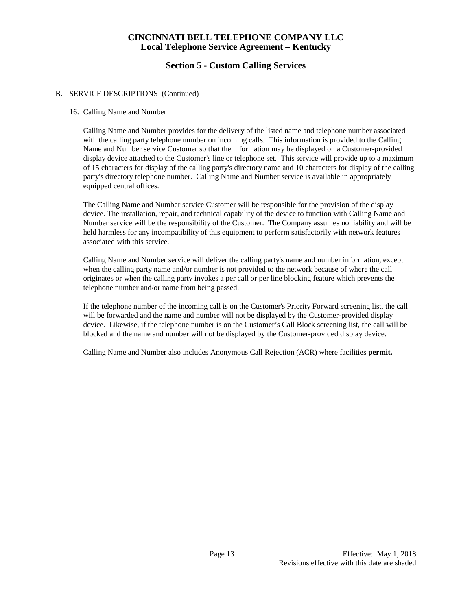# **Section 5 - Custom Calling Services**

#### B. SERVICE DESCRIPTIONS (Continued)

#### 16. Calling Name and Number

Calling Name and Number provides for the delivery of the listed name and telephone number associated with the calling party telephone number on incoming calls. This information is provided to the Calling Name and Number service Customer so that the information may be displayed on a Customer-provided display device attached to the Customer's line or telephone set. This service will provide up to a maximum of 15 characters for display of the calling party's directory name and 10 characters for display of the calling party's directory telephone number. Calling Name and Number service is available in appropriately equipped central offices.

The Calling Name and Number service Customer will be responsible for the provision of the display device. The installation, repair, and technical capability of the device to function with Calling Name and Number service will be the responsibility of the Customer. The Company assumes no liability and will be held harmless for any incompatibility of this equipment to perform satisfactorily with network features associated with this service.

Calling Name and Number service will deliver the calling party's name and number information, except when the calling party name and/or number is not provided to the network because of where the call originates or when the calling party invokes a per call or per line blocking feature which prevents the telephone number and/or name from being passed.

If the telephone number of the incoming call is on the Customer's Priority Forward screening list, the call will be forwarded and the name and number will not be displayed by the Customer-provided display device. Likewise, if the telephone number is on the Customer's Call Block screening list, the call will be blocked and the name and number will not be displayed by the Customer-provided display device.

Calling Name and Number also includes Anonymous Call Rejection (ACR) where facilities **permit.**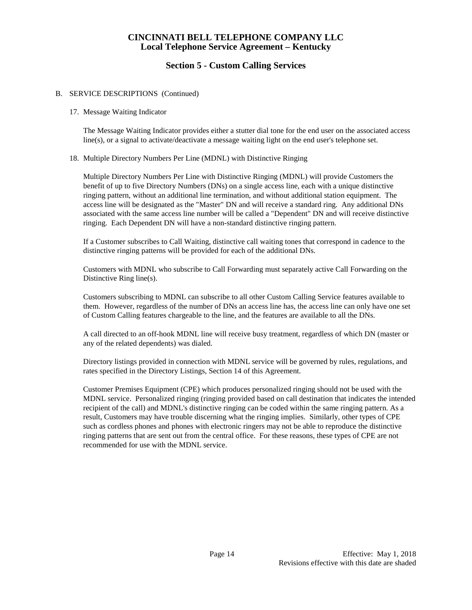## **Section 5 - Custom Calling Services**

#### B. SERVICE DESCRIPTIONS (Continued)

#### 17. Message Waiting Indicator

The Message Waiting Indicator provides either a stutter dial tone for the end user on the associated access line(s), or a signal to activate/deactivate a message waiting light on the end user's telephone set.

#### 18. Multiple Directory Numbers Per Line (MDNL) with Distinctive Ringing

Multiple Directory Numbers Per Line with Distinctive Ringing (MDNL) will provide Customers the benefit of up to five Directory Numbers (DNs) on a single access line, each with a unique distinctive ringing pattern, without an additional line termination, and without additional station equipment. The access line will be designated as the "Master" DN and will receive a standard ring. Any additional DNs associated with the same access line number will be called a "Dependent" DN and will receive distinctive ringing. Each Dependent DN will have a non-standard distinctive ringing pattern.

If a Customer subscribes to Call Waiting, distinctive call waiting tones that correspond in cadence to the distinctive ringing patterns will be provided for each of the additional DNs.

Customers with MDNL who subscribe to Call Forwarding must separately active Call Forwarding on the Distinctive Ring line(s).

Customers subscribing to MDNL can subscribe to all other Custom Calling Service features available to them. However, regardless of the number of DNs an access line has, the access line can only have one set of Custom Calling features chargeable to the line, and the features are available to all the DNs.

A call directed to an off-hook MDNL line will receive busy treatment, regardless of which DN (master or any of the related dependents) was dialed.

Directory listings provided in connection with MDNL service will be governed by rules, regulations, and rates specified in the Directory Listings, Section 14 of this Agreement.

Customer Premises Equipment (CPE) which produces personalized ringing should not be used with the MDNL service. Personalized ringing (ringing provided based on call destination that indicates the intended recipient of the call) and MDNL's distinctive ringing can be coded within the same ringing pattern. As a result, Customers may have trouble discerning what the ringing implies. Similarly, other types of CPE such as cordless phones and phones with electronic ringers may not be able to reproduce the distinctive ringing patterns that are sent out from the central office. For these reasons, these types of CPE are not recommended for use with the MDNL service.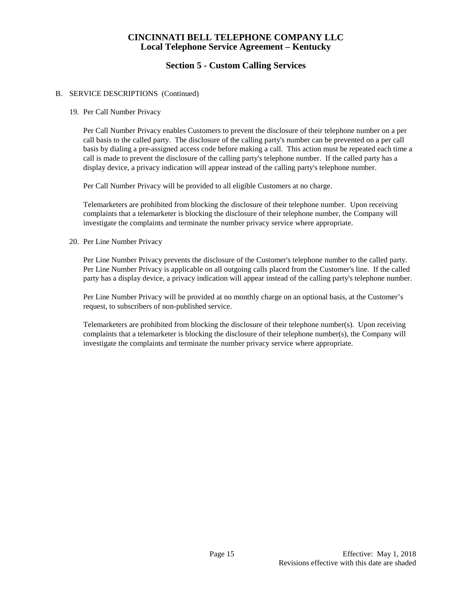# **Section 5 - Custom Calling Services**

#### B. SERVICE DESCRIPTIONS (Continued)

#### 19. Per Call Number Privacy

Per Call Number Privacy enables Customers to prevent the disclosure of their telephone number on a per call basis to the called party. The disclosure of the calling party's number can be prevented on a per call basis by dialing a pre-assigned access code before making a call. This action must be repeated each time a call is made to prevent the disclosure of the calling party's telephone number. If the called party has a display device, a privacy indication will appear instead of the calling party's telephone number.

Per Call Number Privacy will be provided to all eligible Customers at no charge.

Telemarketers are prohibited from blocking the disclosure of their telephone number. Upon receiving complaints that a telemarketer is blocking the disclosure of their telephone number, the Company will investigate the complaints and terminate the number privacy service where appropriate.

#### 20. Per Line Number Privacy

Per Line Number Privacy prevents the disclosure of the Customer's telephone number to the called party. Per Line Number Privacy is applicable on all outgoing calls placed from the Customer's line. If the called party has a display device, a privacy indication will appear instead of the calling party's telephone number.

Per Line Number Privacy will be provided at no monthly charge on an optional basis, at the Customer's request, to subscribers of non-published service.

Telemarketers are prohibited from blocking the disclosure of their telephone number(s). Upon receiving complaints that a telemarketer is blocking the disclosure of their telephone number(s), the Company will investigate the complaints and terminate the number privacy service where appropriate.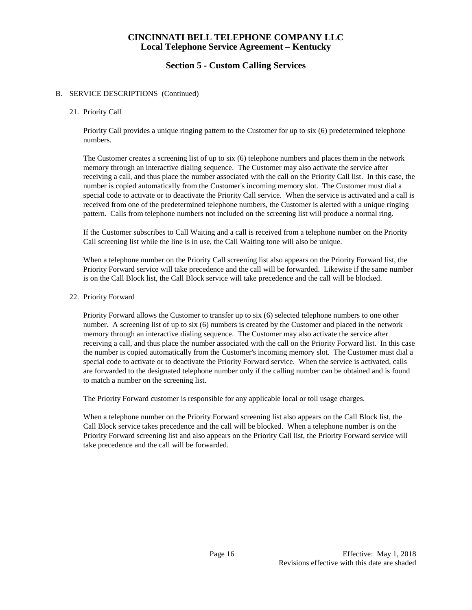## **Section 5 - Custom Calling Services**

#### B. SERVICE DESCRIPTIONS (Continued)

21. Priority Call

Priority Call provides a unique ringing pattern to the Customer for up to six (6) predetermined telephone numbers.

The Customer creates a screening list of up to six (6) telephone numbers and places them in the network memory through an interactive dialing sequence. The Customer may also activate the service after receiving a call, and thus place the number associated with the call on the Priority Call list. In this case, the number is copied automatically from the Customer's incoming memory slot. The Customer must dial a special code to activate or to deactivate the Priority Call service. When the service is activated and a call is received from one of the predetermined telephone numbers, the Customer is alerted with a unique ringing pattern. Calls from telephone numbers not included on the screening list will produce a normal ring.

If the Customer subscribes to Call Waiting and a call is received from a telephone number on the Priority Call screening list while the line is in use, the Call Waiting tone will also be unique.

When a telephone number on the Priority Call screening list also appears on the Priority Forward list, the Priority Forward service will take precedence and the call will be forwarded. Likewise if the same number is on the Call Block list, the Call Block service will take precedence and the call will be blocked.

22. Priority Forward

Priority Forward allows the Customer to transfer up to six (6) selected telephone numbers to one other number. A screening list of up to six (6) numbers is created by the Customer and placed in the network memory through an interactive dialing sequence. The Customer may also activate the service after receiving a call, and thus place the number associated with the call on the Priority Forward list. In this case the number is copied automatically from the Customer's incoming memory slot. The Customer must dial a special code to activate or to deactivate the Priority Forward service. When the service is activated, calls are forwarded to the designated telephone number only if the calling number can be obtained and is found to match a number on the screening list.

The Priority Forward customer is responsible for any applicable local or toll usage charges.

When a telephone number on the Priority Forward screening list also appears on the Call Block list, the Call Block service takes precedence and the call will be blocked. When a telephone number is on the Priority Forward screening list and also appears on the Priority Call list, the Priority Forward service will take precedence and the call will be forwarded.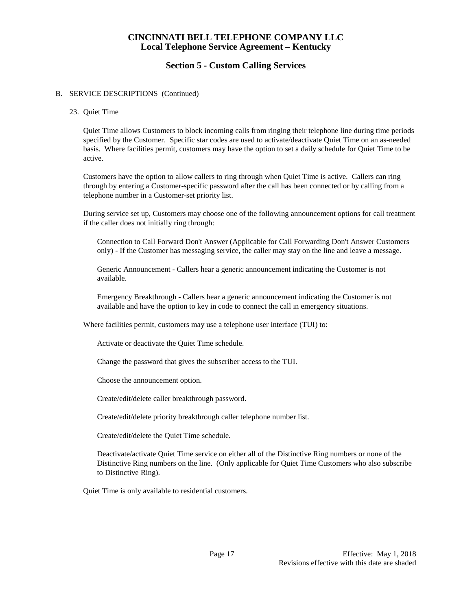# **Section 5 - Custom Calling Services**

#### B. SERVICE DESCRIPTIONS (Continued)

23. Quiet Time

Quiet Time allows Customers to block incoming calls from ringing their telephone line during time periods specified by the Customer. Specific star codes are used to activate/deactivate Quiet Time on an as-needed basis. Where facilities permit, customers may have the option to set a daily schedule for Quiet Time to be active.

Customers have the option to allow callers to ring through when Quiet Time is active. Callers can ring through by entering a Customer-specific password after the call has been connected or by calling from a telephone number in a Customer-set priority list.

During service set up, Customers may choose one of the following announcement options for call treatment if the caller does not initially ring through:

Connection to Call Forward Don't Answer (Applicable for Call Forwarding Don't Answer Customers only) - If the Customer has messaging service, the caller may stay on the line and leave a message.

Generic Announcement - Callers hear a generic announcement indicating the Customer is not available.

Emergency Breakthrough - Callers hear a generic announcement indicating the Customer is not available and have the option to key in code to connect the call in emergency situations.

Where facilities permit, customers may use a telephone user interface (TUI) to:

Activate or deactivate the Quiet Time schedule.

Change the password that gives the subscriber access to the TUI.

Choose the announcement option.

Create/edit/delete caller breakthrough password.

Create/edit/delete priority breakthrough caller telephone number list.

Create/edit/delete the Quiet Time schedule.

Deactivate/activate Quiet Time service on either all of the Distinctive Ring numbers or none of the Distinctive Ring numbers on the line. (Only applicable for Quiet Time Customers who also subscribe to Distinctive Ring).

Quiet Time is only available to residential customers.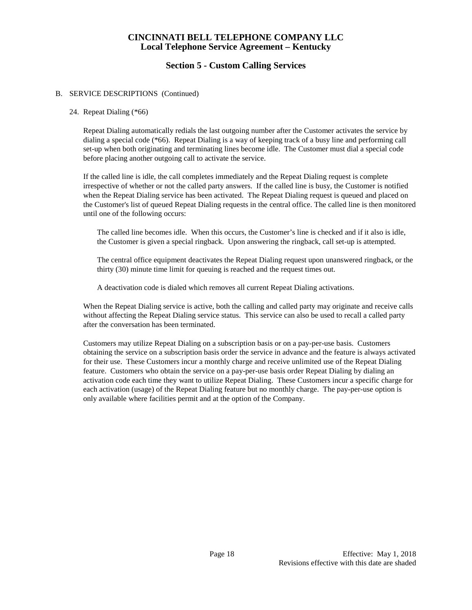# **Section 5 - Custom Calling Services**

#### B. SERVICE DESCRIPTIONS (Continued)

#### 24. Repeat Dialing (\*66)

Repeat Dialing automatically redials the last outgoing number after the Customer activates the service by dialing a special code (\*66). Repeat Dialing is a way of keeping track of a busy line and performing call set-up when both originating and terminating lines become idle. The Customer must dial a special code before placing another outgoing call to activate the service.

If the called line is idle, the call completes immediately and the Repeat Dialing request is complete irrespective of whether or not the called party answers. If the called line is busy, the Customer is notified when the Repeat Dialing service has been activated. The Repeat Dialing request is queued and placed on the Customer's list of queued Repeat Dialing requests in the central office. The called line is then monitored until one of the following occurs:

The called line becomes idle. When this occurs, the Customer's line is checked and if it also is idle, the Customer is given a special ringback. Upon answering the ringback, call set-up is attempted.

The central office equipment deactivates the Repeat Dialing request upon unanswered ringback, or the thirty (30) minute time limit for queuing is reached and the request times out.

A deactivation code is dialed which removes all current Repeat Dialing activations.

When the Repeat Dialing service is active, both the calling and called party may originate and receive calls without affecting the Repeat Dialing service status. This service can also be used to recall a called party after the conversation has been terminated.

Customers may utilize Repeat Dialing on a subscription basis or on a pay-per-use basis. Customers obtaining the service on a subscription basis order the service in advance and the feature is always activated for their use. These Customers incur a monthly charge and receive unlimited use of the Repeat Dialing feature. Customers who obtain the service on a pay-per-use basis order Repeat Dialing by dialing an activation code each time they want to utilize Repeat Dialing. These Customers incur a specific charge for each activation (usage) of the Repeat Dialing feature but no monthly charge. The pay-per-use option is only available where facilities permit and at the option of the Company.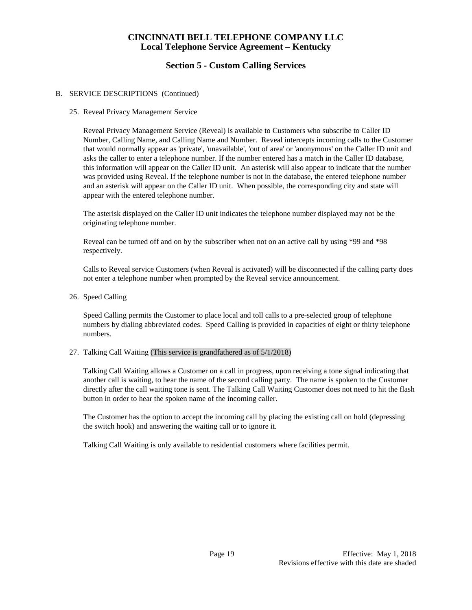# **Section 5 - Custom Calling Services**

#### B. SERVICE DESCRIPTIONS (Continued)

25. Reveal Privacy Management Service

Reveal Privacy Management Service (Reveal) is available to Customers who subscribe to Caller ID Number, Calling Name, and Calling Name and Number. Reveal intercepts incoming calls to the Customer that would normally appear as 'private', 'unavailable', 'out of area' or 'anonymous' on the Caller ID unit and asks the caller to enter a telephone number. If the number entered has a match in the Caller ID database, this information will appear on the Caller ID unit. An asterisk will also appear to indicate that the number was provided using Reveal. If the telephone number is not in the database, the entered telephone number and an asterisk will appear on the Caller ID unit. When possible, the corresponding city and state will appear with the entered telephone number.

The asterisk displayed on the Caller ID unit indicates the telephone number displayed may not be the originating telephone number.

Reveal can be turned off and on by the subscriber when not on an active call by using \*99 and \*98 respectively.

Calls to Reveal service Customers (when Reveal is activated) will be disconnected if the calling party does not enter a telephone number when prompted by the Reveal service announcement.

26. Speed Calling

Speed Calling permits the Customer to place local and toll calls to a pre-selected group of telephone numbers by dialing abbreviated codes. Speed Calling is provided in capacities of eight or thirty telephone numbers.

#### 27. Talking Call Waiting (This service is grandfathered as of 5/1/2018)

Talking Call Waiting allows a Customer on a call in progress, upon receiving a tone signal indicating that another call is waiting, to hear the name of the second calling party. The name is spoken to the Customer directly after the call waiting tone is sent. The Talking Call Waiting Customer does not need to hit the flash button in order to hear the spoken name of the incoming caller.

The Customer has the option to accept the incoming call by placing the existing call on hold (depressing the switch hook) and answering the waiting call or to ignore it.

Talking Call Waiting is only available to residential customers where facilities permit.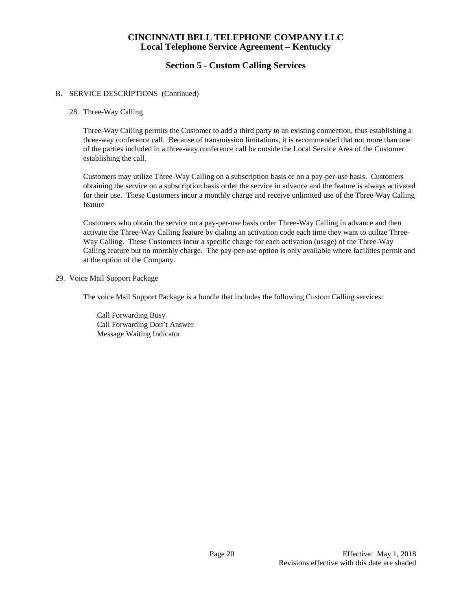# **Section 5 - Custom Calling Services**

#### B. SERVICE DESCRIPTIONS (Continued)

#### 28. Three-Way Calling

Three-Way Calling permits the Customer to add a third party to an existing connection, thus establishing a three-way conference call. Because of transmission limitations, it is recommended that not more than one of the parties included in a three-way conference call be outside the Local Service Area of the Customer establishing the call.

Customers may utilize Three-Way Calling on a subscription basis or on a pay-per-use basis. Customers obtaining the service on a subscription basis order the service in advance and the feature is always activated for their use. These Customers incur a monthly charge and receive unlimited use of the Three-Way Calling feature

Customers who obtain the service on a pay-per-use basis order Three-Way Calling in advance and then activate the Three-Way Calling feature by dialing an activation code each time they want to utilize Three-Way Calling. These Customers incur a specific charge for each activation (usage) of the Three-Way Calling feature but no monthly charge. The pay-per-use option is only available where facilities permit and at the option of the Company.

#### 29. Voice Mail Support Package

The voice Mail Support Package is a bundle that includes the following Custom Calling services:

Call Forwarding Busy Call Forwarding Don't Answer Message Waiting Indicator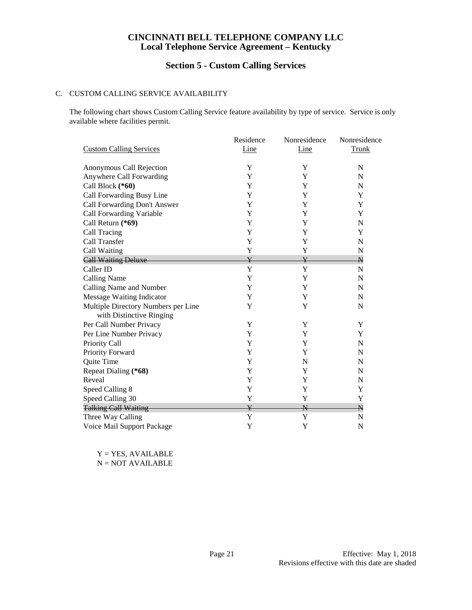# **Section 5 - Custom Calling Services**

#### C. CUSTOM CALLING SERVICE AVAILABILITY

The following chart shows Custom Calling Service feature availability by type of service. Service is only available where facilities permit.

|                                     | Residence               | Nonresidence            | Nonresidence            |
|-------------------------------------|-------------------------|-------------------------|-------------------------|
| <b>Custom Calling Services</b>      | Line                    | Line                    | Trunk                   |
| Anonymous Call Rejection            | Y                       | Y                       | $\mathbf N$             |
| Anywhere Call Forwarding            | Y                       | Y                       | $\mathbf N$             |
| Call Block (*60)                    | Y                       | Y                       | N                       |
| Call Forwarding Busy Line           | Y                       | Y                       | Y                       |
| Call Forwarding Don't Answer        | Y                       | Y                       | Y                       |
| Call Forwarding Variable            | Y                       | Y                       | Y                       |
| Call Return (*69)                   | Y                       | Y                       | ${\bf N}$               |
| Call Tracing                        | Y                       | Y                       | Y                       |
| Call Transfer                       | Y                       | Y                       | N                       |
| Call Waiting                        | Y                       | Y                       | N                       |
| <b>Call Waiting Deluxe</b>          | $\overline{\mathrm{Y}}$ | ¥                       | $\overline{\mathsf{N}}$ |
| Caller ID                           | Y                       | Y                       | N                       |
| <b>Calling Name</b>                 | Y                       | Y                       | $\mathbf N$             |
| Calling Name and Number             | Y                       | Y                       | N                       |
| <b>Message Waiting Indicator</b>    | Y                       | Y                       | N                       |
| Multiple Directory Numbers per Line | Y                       | Y                       | ${\bf N}$               |
| with Distinctive Ringing            |                         |                         |                         |
| Per Call Number Privacy             | Y                       | Y                       | Y                       |
| Per Line Number Privacy             | Y                       | Y                       | Y                       |
| Priority Call                       | Y                       | Y                       | $\mathbf N$             |
| Priority Forward                    | Y                       | Y                       | N                       |
| Quite Time                          | Y                       | N                       | $\mathbf N$             |
| Repeat Dialing (*68)                | Y                       | Y                       | N                       |
| Reveal                              | Y                       | Y                       | ${\bf N}$               |
| Speed Calling 8                     | Y                       | Y                       | Y                       |
| Speed Calling 30                    | Y                       | Y                       | Y                       |
| <b>Talking Call Waiting</b>         | $\overline{\mathrm{Y}}$ | $\overline{\mathsf{N}}$ | $\overline{\mathsf{N}}$ |
| Three Way Calling                   | Y                       | Y                       | N                       |
| Voice Mail Support Package          | Y                       | Y                       | N                       |

Y = YES, AVAILABLE N = NOT AVAILABLE